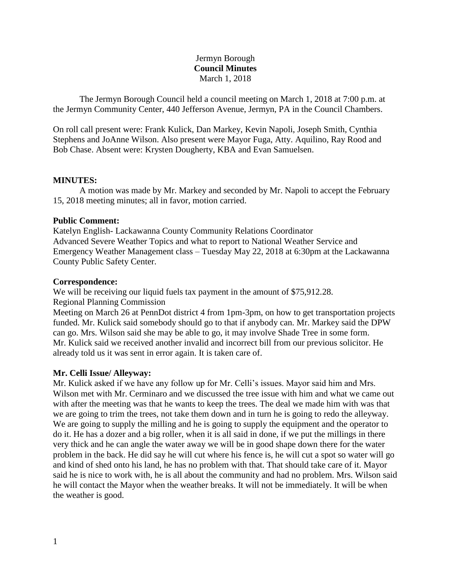# Jermyn Borough **Council Minutes** March 1, 2018

The Jermyn Borough Council held a council meeting on March 1, 2018 at 7:00 p.m. at the Jermyn Community Center, 440 Jefferson Avenue, Jermyn, PA in the Council Chambers.

On roll call present were: Frank Kulick, Dan Markey, Kevin Napoli, Joseph Smith, Cynthia Stephens and JoAnne Wilson. Also present were Mayor Fuga, Atty. Aquilino, Ray Rood and Bob Chase. Absent were: Krysten Dougherty, KBA and Evan Samuelsen.

## **MINUTES:**

A motion was made by Mr. Markey and seconded by Mr. Napoli to accept the February 15, 2018 meeting minutes; all in favor, motion carried.

### **Public Comment:**

Katelyn English- Lackawanna County Community Relations Coordinator Advanced Severe Weather Topics and what to report to National Weather Service and Emergency Weather Management class – Tuesday May 22, 2018 at 6:30pm at the Lackawanna County Public Safety Center.

### **Correspondence:**

We will be receiving our liquid fuels tax payment in the amount of \$75,912.28. Regional Planning Commission

Meeting on March 26 at PennDot district 4 from 1pm-3pm, on how to get transportation projects funded. Mr. Kulick said somebody should go to that if anybody can. Mr. Markey said the DPW can go. Mrs. Wilson said she may be able to go, it may involve Shade Tree in some form. Mr. Kulick said we received another invalid and incorrect bill from our previous solicitor. He already told us it was sent in error again. It is taken care of.

## **Mr. Celli Issue/ Alleyway:**

Mr. Kulick asked if we have any follow up for Mr. Celli's issues. Mayor said him and Mrs. Wilson met with Mr. Cerminaro and we discussed the tree issue with him and what we came out with after the meeting was that he wants to keep the trees. The deal we made him with was that we are going to trim the trees, not take them down and in turn he is going to redo the alleyway. We are going to supply the milling and he is going to supply the equipment and the operator to do it. He has a dozer and a big roller, when it is all said in done, if we put the millings in there very thick and he can angle the water away we will be in good shape down there for the water problem in the back. He did say he will cut where his fence is, he will cut a spot so water will go and kind of shed onto his land, he has no problem with that. That should take care of it. Mayor said he is nice to work with, he is all about the community and had no problem. Mrs. Wilson said he will contact the Mayor when the weather breaks. It will not be immediately. It will be when the weather is good.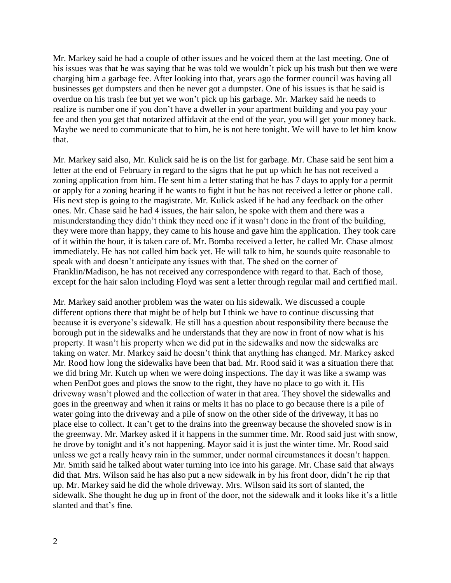Mr. Markey said he had a couple of other issues and he voiced them at the last meeting. One of his issues was that he was saying that he was told we wouldn't pick up his trash but then we were charging him a garbage fee. After looking into that, years ago the former council was having all businesses get dumpsters and then he never got a dumpster. One of his issues is that he said is overdue on his trash fee but yet we won't pick up his garbage. Mr. Markey said he needs to realize is number one if you don't have a dweller in your apartment building and you pay your fee and then you get that notarized affidavit at the end of the year, you will get your money back. Maybe we need to communicate that to him, he is not here tonight. We will have to let him know that.

Mr. Markey said also, Mr. Kulick said he is on the list for garbage. Mr. Chase said he sent him a letter at the end of February in regard to the signs that he put up which he has not received a zoning application from him. He sent him a letter stating that he has 7 days to apply for a permit or apply for a zoning hearing if he wants to fight it but he has not received a letter or phone call. His next step is going to the magistrate. Mr. Kulick asked if he had any feedback on the other ones. Mr. Chase said he had 4 issues, the hair salon, he spoke with them and there was a misunderstanding they didn't think they need one if it wasn't done in the front of the building, they were more than happy, they came to his house and gave him the application. They took care of it within the hour, it is taken care of. Mr. Bomba received a letter, he called Mr. Chase almost immediately. He has not called him back yet. He will talk to him, he sounds quite reasonable to speak with and doesn't anticipate any issues with that. The shed on the corner of Franklin/Madison, he has not received any correspondence with regard to that. Each of those, except for the hair salon including Floyd was sent a letter through regular mail and certified mail.

Mr. Markey said another problem was the water on his sidewalk. We discussed a couple different options there that might be of help but I think we have to continue discussing that because it is everyone's sidewalk. He still has a question about responsibility there because the borough put in the sidewalks and he understands that they are now in front of now what is his property. It wasn't his property when we did put in the sidewalks and now the sidewalks are taking on water. Mr. Markey said he doesn't think that anything has changed. Mr. Markey asked Mr. Rood how long the sidewalks have been that bad. Mr. Rood said it was a situation there that we did bring Mr. Kutch up when we were doing inspections. The day it was like a swamp was when PenDot goes and plows the snow to the right, they have no place to go with it. His driveway wasn't plowed and the collection of water in that area. They shovel the sidewalks and goes in the greenway and when it rains or melts it has no place to go because there is a pile of water going into the driveway and a pile of snow on the other side of the driveway, it has no place else to collect. It can't get to the drains into the greenway because the shoveled snow is in the greenway. Mr. Markey asked if it happens in the summer time. Mr. Rood said just with snow, he drove by tonight and it's not happening. Mayor said it is just the winter time. Mr. Rood said unless we get a really heavy rain in the summer, under normal circumstances it doesn't happen. Mr. Smith said he talked about water turning into ice into his garage. Mr. Chase said that always did that. Mrs. Wilson said he has also put a new sidewalk in by his front door, didn't he rip that up. Mr. Markey said he did the whole driveway. Mrs. Wilson said its sort of slanted, the sidewalk. She thought he dug up in front of the door, not the sidewalk and it looks like it's a little slanted and that's fine.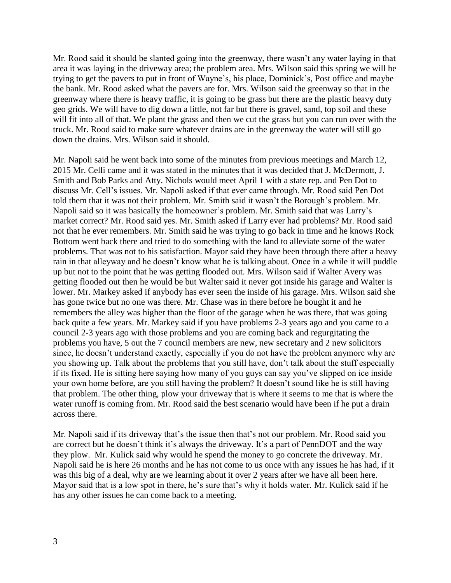Mr. Rood said it should be slanted going into the greenway, there wasn't any water laying in that area it was laying in the driveway area; the problem area. Mrs. Wilson said this spring we will be trying to get the pavers to put in front of Wayne's, his place, Dominick's, Post office and maybe the bank. Mr. Rood asked what the pavers are for. Mrs. Wilson said the greenway so that in the greenway where there is heavy traffic, it is going to be grass but there are the plastic heavy duty geo grids. We will have to dig down a little, not far but there is gravel, sand, top soil and these will fit into all of that. We plant the grass and then we cut the grass but you can run over with the truck. Mr. Rood said to make sure whatever drains are in the greenway the water will still go down the drains. Mrs. Wilson said it should.

Mr. Napoli said he went back into some of the minutes from previous meetings and March 12, 2015 Mr. Celli came and it was stated in the minutes that it was decided that J. McDermott, J. Smith and Bob Parks and Atty. Nichols would meet April 1 with a state rep. and Pen Dot to discuss Mr. Cell's issues. Mr. Napoli asked if that ever came through. Mr. Rood said Pen Dot told them that it was not their problem. Mr. Smith said it wasn't the Borough's problem. Mr. Napoli said so it was basically the homeowner's problem. Mr. Smith said that was Larry's market correct? Mr. Rood said yes. Mr. Smith asked if Larry ever had problems? Mr. Rood said not that he ever remembers. Mr. Smith said he was trying to go back in time and he knows Rock Bottom went back there and tried to do something with the land to alleviate some of the water problems. That was not to his satisfaction. Mayor said they have been through there after a heavy rain in that alleyway and he doesn't know what he is talking about. Once in a while it will puddle up but not to the point that he was getting flooded out. Mrs. Wilson said if Walter Avery was getting flooded out then he would be but Walter said it never got inside his garage and Walter is lower. Mr. Markey asked if anybody has ever seen the inside of his garage. Mrs. Wilson said she has gone twice but no one was there. Mr. Chase was in there before he bought it and he remembers the alley was higher than the floor of the garage when he was there, that was going back quite a few years. Mr. Markey said if you have problems 2-3 years ago and you came to a council 2-3 years ago with those problems and you are coming back and regurgitating the problems you have, 5 out the 7 council members are new, new secretary and 2 new solicitors since, he doesn't understand exactly, especially if you do not have the problem anymore why are you showing up. Talk about the problems that you still have, don't talk about the stuff especially if its fixed. He is sitting here saying how many of you guys can say you've slipped on ice inside your own home before, are you still having the problem? It doesn't sound like he is still having that problem. The other thing, plow your driveway that is where it seems to me that is where the water runoff is coming from. Mr. Rood said the best scenario would have been if he put a drain across there.

Mr. Napoli said if its driveway that's the issue then that's not our problem. Mr. Rood said you are correct but he doesn't think it's always the driveway. It's a part of PennDOT and the way they plow. Mr. Kulick said why would he spend the money to go concrete the driveway. Mr. Napoli said he is here 26 months and he has not come to us once with any issues he has had, if it was this big of a deal, why are we learning about it over 2 years after we have all been here. Mayor said that is a low spot in there, he's sure that's why it holds water. Mr. Kulick said if he has any other issues he can come back to a meeting.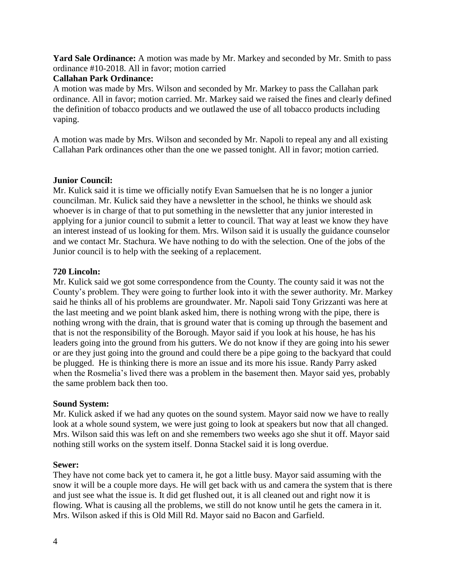**Yard Sale Ordinance:** A motion was made by Mr. Markey and seconded by Mr. Smith to pass ordinance #10-2018. All in favor; motion carried

# **Callahan Park Ordinance:**

A motion was made by Mrs. Wilson and seconded by Mr. Markey to pass the Callahan park ordinance. All in favor; motion carried. Mr. Markey said we raised the fines and clearly defined the definition of tobacco products and we outlawed the use of all tobacco products including vaping.

A motion was made by Mrs. Wilson and seconded by Mr. Napoli to repeal any and all existing Callahan Park ordinances other than the one we passed tonight. All in favor; motion carried.

## **Junior Council:**

Mr. Kulick said it is time we officially notify Evan Samuelsen that he is no longer a junior councilman. Mr. Kulick said they have a newsletter in the school, he thinks we should ask whoever is in charge of that to put something in the newsletter that any junior interested in applying for a junior council to submit a letter to council. That way at least we know they have an interest instead of us looking for them. Mrs. Wilson said it is usually the guidance counselor and we contact Mr. Stachura. We have nothing to do with the selection. One of the jobs of the Junior council is to help with the seeking of a replacement.

## **720 Lincoln:**

Mr. Kulick said we got some correspondence from the County. The county said it was not the County's problem. They were going to further look into it with the sewer authority. Mr. Markey said he thinks all of his problems are groundwater. Mr. Napoli said Tony Grizzanti was here at the last meeting and we point blank asked him, there is nothing wrong with the pipe, there is nothing wrong with the drain, that is ground water that is coming up through the basement and that is not the responsibility of the Borough. Mayor said if you look at his house, he has his leaders going into the ground from his gutters. We do not know if they are going into his sewer or are they just going into the ground and could there be a pipe going to the backyard that could be plugged. He is thinking there is more an issue and its more his issue. Randy Parry asked when the Rosmelia's lived there was a problem in the basement then. Mayor said yes, probably the same problem back then too.

## **Sound System:**

Mr. Kulick asked if we had any quotes on the sound system. Mayor said now we have to really look at a whole sound system, we were just going to look at speakers but now that all changed. Mrs. Wilson said this was left on and she remembers two weeks ago she shut it off. Mayor said nothing still works on the system itself. Donna Stackel said it is long overdue.

## **Sewer:**

They have not come back yet to camera it, he got a little busy. Mayor said assuming with the snow it will be a couple more days. He will get back with us and camera the system that is there and just see what the issue is. It did get flushed out, it is all cleaned out and right now it is flowing. What is causing all the problems, we still do not know until he gets the camera in it. Mrs. Wilson asked if this is Old Mill Rd. Mayor said no Bacon and Garfield.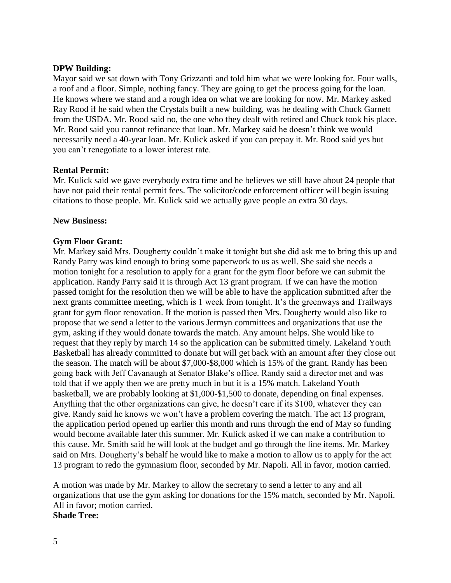## **DPW Building:**

Mayor said we sat down with Tony Grizzanti and told him what we were looking for. Four walls, a roof and a floor. Simple, nothing fancy. They are going to get the process going for the loan. He knows where we stand and a rough idea on what we are looking for now. Mr. Markey asked Ray Rood if he said when the Crystals built a new building, was he dealing with Chuck Garnett from the USDA. Mr. Rood said no, the one who they dealt with retired and Chuck took his place. Mr. Rood said you cannot refinance that loan. Mr. Markey said he doesn't think we would necessarily need a 40-year loan. Mr. Kulick asked if you can prepay it. Mr. Rood said yes but you can't renegotiate to a lower interest rate.

# **Rental Permit:**

Mr. Kulick said we gave everybody extra time and he believes we still have about 24 people that have not paid their rental permit fees. The solicitor/code enforcement officer will begin issuing citations to those people. Mr. Kulick said we actually gave people an extra 30 days.

## **New Business:**

## **Gym Floor Grant:**

Mr. Markey said Mrs. Dougherty couldn't make it tonight but she did ask me to bring this up and Randy Parry was kind enough to bring some paperwork to us as well. She said she needs a motion tonight for a resolution to apply for a grant for the gym floor before we can submit the application. Randy Parry said it is through Act 13 grant program. If we can have the motion passed tonight for the resolution then we will be able to have the application submitted after the next grants committee meeting, which is 1 week from tonight. It's the greenways and Trailways grant for gym floor renovation. If the motion is passed then Mrs. Dougherty would also like to propose that we send a letter to the various Jermyn committees and organizations that use the gym, asking if they would donate towards the match. Any amount helps. She would like to request that they reply by march 14 so the application can be submitted timely. Lakeland Youth Basketball has already committed to donate but will get back with an amount after they close out the season. The match will be about \$7,000-\$8,000 which is 15% of the grant. Randy has been going back with Jeff Cavanaugh at Senator Blake's office. Randy said a director met and was told that if we apply then we are pretty much in but it is a 15% match. Lakeland Youth basketball, we are probably looking at \$1,000-\$1,500 to donate, depending on final expenses. Anything that the other organizations can give, he doesn't care if its \$100, whatever they can give. Randy said he knows we won't have a problem covering the match. The act 13 program, the application period opened up earlier this month and runs through the end of May so funding would become available later this summer. Mr. Kulick asked if we can make a contribution to this cause. Mr. Smith said he will look at the budget and go through the line items. Mr. Markey said on Mrs. Dougherty's behalf he would like to make a motion to allow us to apply for the act 13 program to redo the gymnasium floor, seconded by Mr. Napoli. All in favor, motion carried.

A motion was made by Mr. Markey to allow the secretary to send a letter to any and all organizations that use the gym asking for donations for the 15% match, seconded by Mr. Napoli. All in favor; motion carried. **Shade Tree:**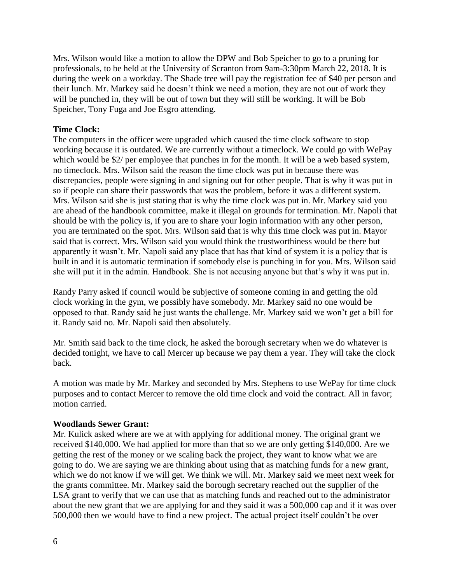Mrs. Wilson would like a motion to allow the DPW and Bob Speicher to go to a pruning for professionals, to be held at the University of Scranton from 9am-3:30pm March 22, 2018. It is during the week on a workday. The Shade tree will pay the registration fee of \$40 per person and their lunch. Mr. Markey said he doesn't think we need a motion, they are not out of work they will be punched in, they will be out of town but they will still be working. It will be Bob Speicher, Tony Fuga and Joe Esgro attending.

# **Time Clock:**

The computers in the officer were upgraded which caused the time clock software to stop working because it is outdated. We are currently without a timeclock. We could go with WePay which would be \$2/ per employee that punches in for the month. It will be a web based system, no timeclock. Mrs. Wilson said the reason the time clock was put in because there was discrepancies, people were signing in and signing out for other people. That is why it was put in so if people can share their passwords that was the problem, before it was a different system. Mrs. Wilson said she is just stating that is why the time clock was put in. Mr. Markey said you are ahead of the handbook committee, make it illegal on grounds for termination. Mr. Napoli that should be with the policy is, if you are to share your login information with any other person, you are terminated on the spot. Mrs. Wilson said that is why this time clock was put in. Mayor said that is correct. Mrs. Wilson said you would think the trustworthiness would be there but apparently it wasn't. Mr. Napoli said any place that has that kind of system it is a policy that is built in and it is automatic termination if somebody else is punching in for you. Mrs. Wilson said she will put it in the admin. Handbook. She is not accusing anyone but that's why it was put in.

Randy Parry asked if council would be subjective of someone coming in and getting the old clock working in the gym, we possibly have somebody. Mr. Markey said no one would be opposed to that. Randy said he just wants the challenge. Mr. Markey said we won't get a bill for it. Randy said no. Mr. Napoli said then absolutely.

Mr. Smith said back to the time clock, he asked the borough secretary when we do whatever is decided tonight, we have to call Mercer up because we pay them a year. They will take the clock back.

A motion was made by Mr. Markey and seconded by Mrs. Stephens to use WePay for time clock purposes and to contact Mercer to remove the old time clock and void the contract. All in favor; motion carried.

## **Woodlands Sewer Grant:**

Mr. Kulick asked where are we at with applying for additional money. The original grant we received \$140,000. We had applied for more than that so we are only getting \$140,000. Are we getting the rest of the money or we scaling back the project, they want to know what we are going to do. We are saying we are thinking about using that as matching funds for a new grant, which we do not know if we will get. We think we will. Mr. Markey said we meet next week for the grants committee. Mr. Markey said the borough secretary reached out the supplier of the LSA grant to verify that we can use that as matching funds and reached out to the administrator about the new grant that we are applying for and they said it was a 500,000 cap and if it was over 500,000 then we would have to find a new project. The actual project itself couldn't be over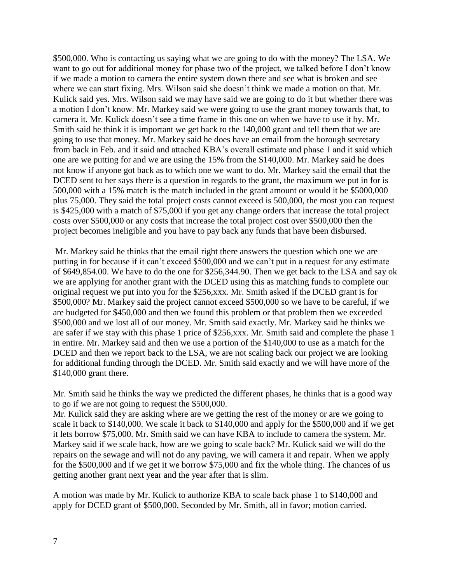\$500,000. Who is contacting us saying what we are going to do with the money? The LSA. We want to go out for additional money for phase two of the project, we talked before I don't know if we made a motion to camera the entire system down there and see what is broken and see where we can start fixing. Mrs. Wilson said she doesn't think we made a motion on that. Mr. Kulick said yes. Mrs. Wilson said we may have said we are going to do it but whether there was a motion I don't know. Mr. Markey said we were going to use the grant money towards that, to camera it. Mr. Kulick doesn't see a time frame in this one on when we have to use it by. Mr. Smith said he think it is important we get back to the 140,000 grant and tell them that we are going to use that money. Mr. Markey said he does have an email from the borough secretary from back in Feb. and it said and attached KBA's overall estimate and phase 1 and it said which one are we putting for and we are using the 15% from the \$140,000. Mr. Markey said he does not know if anyone got back as to which one we want to do. Mr. Markey said the email that the DCED sent to her says there is a question in regards to the grant, the maximum we put in for is 500,000 with a 15% match is the match included in the grant amount or would it be \$5000,000 plus 75,000. They said the total project costs cannot exceed is 500,000, the most you can request is \$425,000 with a match of \$75,000 if you get any change orders that increase the total project costs over \$500,000 or any costs that increase the total project cost over \$500,000 then the project becomes ineligible and you have to pay back any funds that have been disbursed.

Mr. Markey said he thinks that the email right there answers the question which one we are putting in for because if it can't exceed \$500,000 and we can't put in a request for any estimate of \$649,854.00. We have to do the one for \$256,344.90. Then we get back to the LSA and say ok we are applying for another grant with the DCED using this as matching funds to complete our original request we put into you for the \$256,xxx. Mr. Smith asked if the DCED grant is for \$500,000? Mr. Markey said the project cannot exceed \$500,000 so we have to be careful, if we are budgeted for \$450,000 and then we found this problem or that problem then we exceeded \$500,000 and we lost all of our money. Mr. Smith said exactly. Mr. Markey said he thinks we are safer if we stay with this phase 1 price of \$256,xxx. Mr. Smith said and complete the phase 1 in entire. Mr. Markey said and then we use a portion of the \$140,000 to use as a match for the DCED and then we report back to the LSA, we are not scaling back our project we are looking for additional funding through the DCED. Mr. Smith said exactly and we will have more of the \$140,000 grant there.

Mr. Smith said he thinks the way we predicted the different phases, he thinks that is a good way to go if we are not going to request the \$500,000.

Mr. Kulick said they are asking where are we getting the rest of the money or are we going to scale it back to \$140,000. We scale it back to \$140,000 and apply for the \$500,000 and if we get it lets borrow \$75,000. Mr. Smith said we can have KBA to include to camera the system. Mr. Markey said if we scale back, how are we going to scale back? Mr. Kulick said we will do the repairs on the sewage and will not do any paving, we will camera it and repair. When we apply for the \$500,000 and if we get it we borrow \$75,000 and fix the whole thing. The chances of us getting another grant next year and the year after that is slim.

A motion was made by Mr. Kulick to authorize KBA to scale back phase 1 to \$140,000 and apply for DCED grant of \$500,000. Seconded by Mr. Smith, all in favor; motion carried.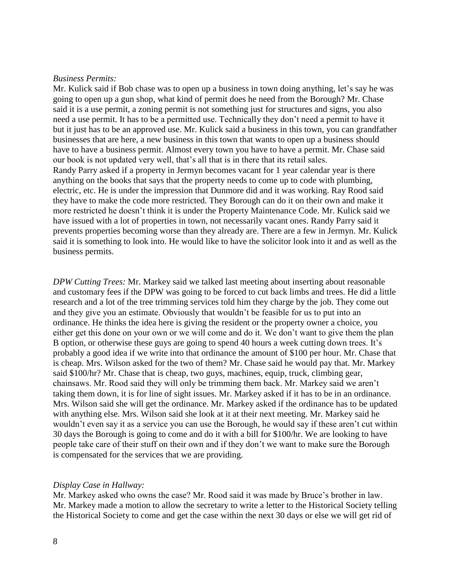#### *Business Permits:*

Mr. Kulick said if Bob chase was to open up a business in town doing anything, let's say he was going to open up a gun shop, what kind of permit does he need from the Borough? Mr. Chase said it is a use permit, a zoning permit is not something just for structures and signs, you also need a use permit. It has to be a permitted use. Technically they don't need a permit to have it but it just has to be an approved use. Mr. Kulick said a business in this town, you can grandfather businesses that are here, a new business in this town that wants to open up a business should have to have a business permit. Almost every town you have to have a permit. Mr. Chase said our book is not updated very well, that's all that is in there that its retail sales. Randy Parry asked if a property in Jermyn becomes vacant for 1 year calendar year is there anything on the books that says that the property needs to come up to code with plumbing, electric, etc. He is under the impression that Dunmore did and it was working. Ray Rood said they have to make the code more restricted. They Borough can do it on their own and make it more restricted he doesn't think it is under the Property Maintenance Code. Mr. Kulick said we have issued with a lot of properties in town, not necessarily vacant ones. Randy Parry said it prevents properties becoming worse than they already are. There are a few in Jermyn. Mr. Kulick said it is something to look into. He would like to have the solicitor look into it and as well as the business permits.

*DPW Cutting Trees:* Mr. Markey said we talked last meeting about inserting about reasonable and customary fees if the DPW was going to be forced to cut back limbs and trees. He did a little research and a lot of the tree trimming services told him they charge by the job. They come out and they give you an estimate. Obviously that wouldn't be feasible for us to put into an ordinance. He thinks the idea here is giving the resident or the property owner a choice, you either get this done on your own or we will come and do it. We don't want to give them the plan B option, or otherwise these guys are going to spend 40 hours a week cutting down trees. It's probably a good idea if we write into that ordinance the amount of \$100 per hour. Mr. Chase that is cheap. Mrs. Wilson asked for the two of them? Mr. Chase said he would pay that. Mr. Markey said \$100/hr? Mr. Chase that is cheap, two guys, machines, equip, truck, climbing gear, chainsaws. Mr. Rood said they will only be trimming them back. Mr. Markey said we aren't taking them down, it is for line of sight issues. Mr. Markey asked if it has to be in an ordinance. Mrs. Wilson said she will get the ordinance. Mr. Markey asked if the ordinance has to be updated with anything else. Mrs. Wilson said she look at it at their next meeting. Mr. Markey said he wouldn't even say it as a service you can use the Borough, he would say if these aren't cut within 30 days the Borough is going to come and do it with a bill for \$100/hr. We are looking to have people take care of their stuff on their own and if they don't we want to make sure the Borough is compensated for the services that we are providing.

#### *Display Case in Hallway:*

Mr. Markey asked who owns the case? Mr. Rood said it was made by Bruce's brother in law. Mr. Markey made a motion to allow the secretary to write a letter to the Historical Society telling the Historical Society to come and get the case within the next 30 days or else we will get rid of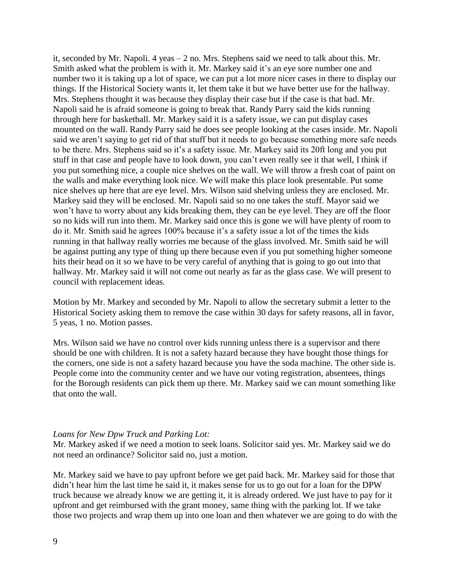it, seconded by Mr. Napoli. 4 yeas – 2 no. Mrs. Stephens said we need to talk about this. Mr. Smith asked what the problem is with it. Mr. Markey said it's an eye sore number one and number two it is taking up a lot of space, we can put a lot more nicer cases in there to display our things. If the Historical Society wants it, let them take it but we have better use for the hallway. Mrs. Stephens thought it was because they display their case but if the case is that bad. Mr. Napoli said he is afraid someone is going to break that. Randy Parry said the kids running through here for basketball. Mr. Markey said it is a safety issue, we can put display cases mounted on the wall. Randy Parry said he does see people looking at the cases inside. Mr. Napoli said we aren't saying to get rid of that stuff but it needs to go because something more safe needs to be there. Mrs. Stephens said so it's a safety issue. Mr. Markey said its 20ft long and you put stuff in that case and people have to look down, you can't even really see it that well, I think if you put something nice, a couple nice shelves on the wall. We will throw a fresh coat of paint on the walls and make everything look nice. We will make this place look presentable. Put some nice shelves up here that are eye level. Mrs. Wilson said shelving unless they are enclosed. Mr. Markey said they will be enclosed. Mr. Napoli said so no one takes the stuff. Mayor said we won't have to worry about any kids breaking them, they can be eye level. They are off the floor so no kids will run into them. Mr. Markey said once this is gone we will have plenty of room to do it. Mr. Smith said he agrees 100% because it's a safety issue a lot of the times the kids running in that hallway really worries me because of the glass involved. Mr. Smith said he will be against putting any type of thing up there because even if you put something higher someone hits their head on it so we have to be very careful of anything that is going to go out into that hallway. Mr. Markey said it will not come out nearly as far as the glass case. We will present to council with replacement ideas.

Motion by Mr. Markey and seconded by Mr. Napoli to allow the secretary submit a letter to the Historical Society asking them to remove the case within 30 days for safety reasons, all in favor, 5 yeas, 1 no. Motion passes.

Mrs. Wilson said we have no control over kids running unless there is a supervisor and there should be one with children. It is not a safety hazard because they have bought those things for the corners, one side is not a safety hazard because you have the soda machine. The other side is. People come into the community center and we have our voting registration, absentees, things for the Borough residents can pick them up there. Mr. Markey said we can mount something like that onto the wall.

#### *Loans for New Dpw Truck and Parking Lot:*

Mr. Markey asked if we need a motion to seek loans. Solicitor said yes. Mr. Markey said we do not need an ordinance? Solicitor said no, just a motion.

Mr. Markey said we have to pay upfront before we get paid back. Mr. Markey said for those that didn't hear him the last time he said it, it makes sense for us to go out for a loan for the DPW truck because we already know we are getting it, it is already ordered. We just have to pay for it upfront and get reimbursed with the grant money, same thing with the parking lot. If we take those two projects and wrap them up into one loan and then whatever we are going to do with the